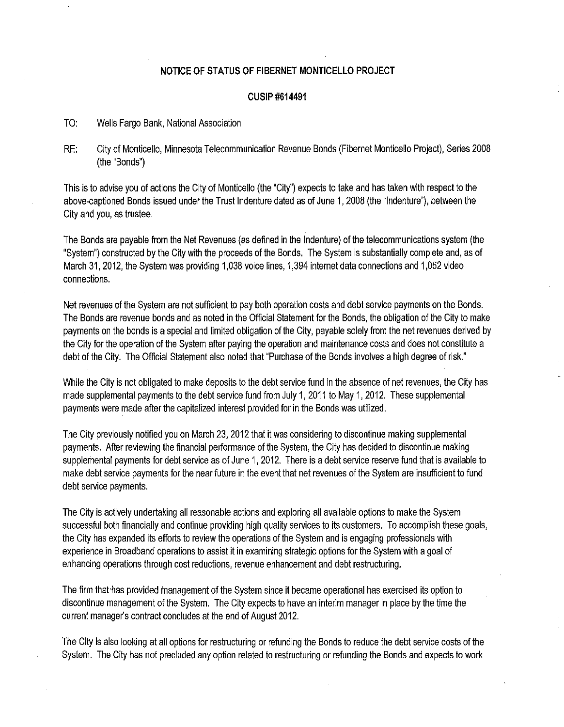## **NOTICE OF STATUS OF FIBERNET MONTICELLO PROJECT**

## **CUSIP #614491**

- TO: Wells Fargo Bank, National Association
- RE: City of Monticello, Minnesota Telecommunication Revenue Bonds (Fibernet Monticello Project), Series 2008 (the "Bonds")

This is to advise you of actions the City of Monticello (the "City") expects to take and has taken with respect to the above-captioned Bonds issued under the Trust Indenture dated as of June 1, 2008 (the "Indenture"), between the City and you, as trustee.

The Bonds are payable from the Net Revenues (as defined in the Indenture) of the telecommunications system (the "System") constructed by the City with the proceeds of the Bonds. The System is substantially complete and, as of March 31, 2012, the System was providing 1,038 voice lines, 1,394 internet data connections and 1,052 video connections.

Net revenues of the System are not sufficient to pay both operation costs and debt service payments on the Bonds. The Bonds are revenue bonds and as noted in the Official statement for the Bonds, the obligation of the City to make payments on the bonds is a special and limited obligation of the City, payable solely from the net revenues derived by the City for the operation of the System after paying the operation and maintenance costs and does not constitute a debt of the City. The Official Statement also noted that "Purchase of the Bonds involves a high degree of risk."

While the City is not obligated to make deposits to the debt service fund in the absence of net revenues, the City has made supplemental payments to the debt service fund from July 1, 2011 to May 1, 2012. These supplemental payments were made after the capitalized interest provided for in the Bonds was utilized.

The City previously notified you on March 23, 2012 that it was considering to discontinue making supplemental payments. After reviewing the financial performance of the System, the City has decided to discontinue making supplemental payments for debt service as of June 1, 2012. There is a debt service reserve fund that is available to make debt service payments for the near future in the event that net revenues of the System are insufficient to fund debt service payments.

The City is actively undertaking all reasonable actions and exploring all available options to make the System successful both financially and continue providing high quality services to its customers. To accomplish these goals, the City has expanded its efforts to review the operations of the System and is engaging professionals with experience in Broadband operations to assist it in examining strategic options for the System with a goal of enhancing operations through cost reductions, revenue enhancement and debt restructuring.

The firm that·has provided management of the System since it became operational has exercised its option to discontinue management of the System. The City expects to have an interim manager in place by the time the current manager's contract concludes at the end of August 2012.

The City is also looking at all options for restructuring or refunding the Bonds to reduce the debt service costs of the System. The City has not precluded any option related to restructuring or refunding the Bonds and expects to work